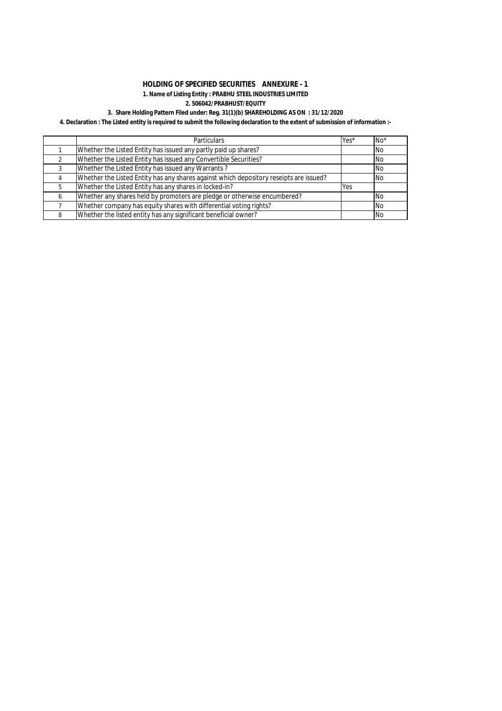## **HOLDING OF SPECIFIED SECURITIES ANNEXURE - 1 1. Name of Listing Entity : PRABHU STEEL INDUSTRIES LIMITED 2. 506042/PRABHUST/EQUITY**

# **3. Share Holding Pattern Filed under: Reg. 31(1)(b) SHAREHOLDING AS ON : 31/12/2020**

# **4. Declaration : The Listed entity is required to submit the following declaration to the extent of submission of information :-**

|   | <b>Particulars</b>                                                                     | Yes*       | $No*$      |
|---|----------------------------------------------------------------------------------------|------------|------------|
|   | Whether the Listed Entity has issued any partly paid up shares?                        |            | <b>INo</b> |
|   | Whether the Listed Entity has issued any Convertible Securities?                       |            | <b>No</b>  |
| 3 | Whether the Listed Entity has issued any Warrants?                                     |            | <b>No</b>  |
| 4 | Whether the Listed Entity has any shares against which depository reseipts are issued? |            | <b>No</b>  |
| 5 | Whether the Listed Entity has any shares in locked-in?                                 | <b>Yes</b> |            |
| 6 | Whether any shares held by promoters are pledge or otherwise encumbered?               |            | No.        |
|   | Whether company has equity shares with differential voting rights?                     |            | <b>No</b>  |
| 8 | Whether the listed entity has any significant beneficial owner?                        |            | <b>No</b>  |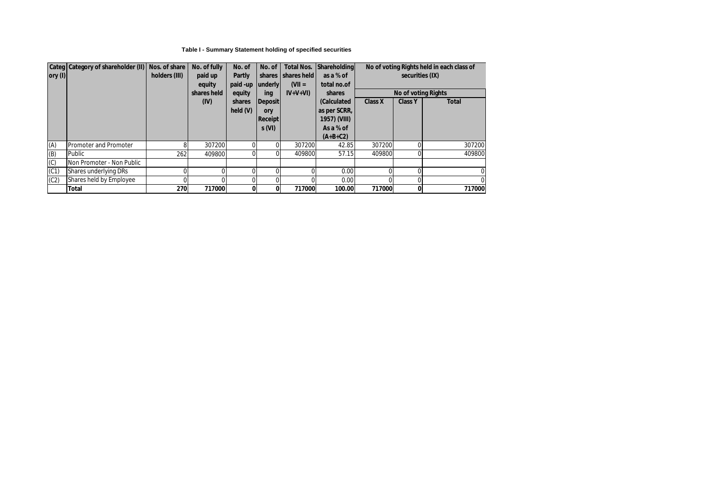## **Table I - Summary Statement holding of specified securities**

|                 | Categ Category of shareholder (II) | Nos. of share | No. of fully      | No. of             | No. of                  | <b>Total Nos.</b>                | <b>Shareholding</b>       |                |                            | No of voting Rights held in each class of |  |  |
|-----------------|------------------------------------|---------------|-------------------|--------------------|-------------------------|----------------------------------|---------------------------|----------------|----------------------------|-------------------------------------------|--|--|
| $\vert$ ory (I) |                                    | holders (III) | paid up<br>equity | Partly<br>paid -up | underly                 | shares I shares held<br>$(VII =$ | as a % of<br>total no.of  |                | securities (IX)            |                                           |  |  |
|                 |                                    |               | shares held       | equity             | ing                     | $IV+V+VI$                        | shares                    |                | <b>No of voting Rights</b> |                                           |  |  |
|                 |                                    |               | (IV)              | shares             | <b>Deposit</b>          |                                  | (Calculated               | <b>Class X</b> | <b>Class Y</b>             | <b>Total</b>                              |  |  |
|                 |                                    |               |                   | held(V)            | ory                     |                                  | as per SCRR,              |                |                            |                                           |  |  |
|                 |                                    |               |                   |                    | <b>Receipt</b><br>s(VI) |                                  | 1957) (VIII)<br>As a % of |                |                            |                                           |  |  |
|                 |                                    |               |                   |                    |                         |                                  | $(A+B+C2)$                |                |                            |                                           |  |  |
| (A)             | <b>Promoter and Promoter</b>       |               | 307200            |                    |                         | 307200                           | 42.85                     | 307200         |                            | 307200                                    |  |  |
| (B)             | Public                             | 262           | 409800            |                    |                         | 409800                           | 57.15                     | 409800         |                            | 409800                                    |  |  |
| (C)             | Non Promoter - Non Public          |               |                   |                    |                         |                                  |                           |                |                            |                                           |  |  |
| (C1)            | Shares underlying DRs              |               |                   |                    |                         |                                  | 0.00                      |                | $\Omega$                   | 0                                         |  |  |
| (C2)            | Shares held by Employee            |               |                   |                    |                         |                                  | 0.00                      |                | $\Omega$                   |                                           |  |  |
|                 | <b>Total</b>                       | 270           | 717000            | 0                  | 0                       | 717000                           | 100.00                    | 717000         | $\mathbf{0}$               | 717000                                    |  |  |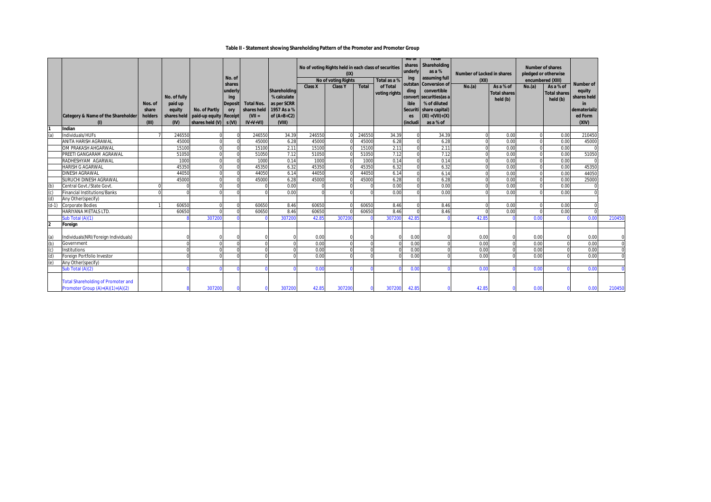### **Table II - Statement showing Shareholding Pattern of the Promoter and Promoter Group**

|                         | <b>Category &amp; Name of the Shareholder</b>                                   | Nos. of<br>share<br>holders<br>(III) | No. of fully<br>paid up<br>equity<br>shares held<br>(IV) | No. of Partly<br>paid-up equity Receipt<br>shares held $(V)$ s $(VI)$ | No. of<br>shares<br>underly<br>ing<br><b>Deposit</b><br>ory | <b>Total Nos.</b><br>$(VII =$<br>$IV+V+VI$ | Shareholding<br>% calculate<br>as per SCRR<br>shares held 1957 As a %<br>of $(A+B+C2)$<br>(VIII) | <b>Class X</b>  | No of voting Rights held in each class of securities<br>(IX)<br><b>No of voting Rights</b><br><b>Class Y</b> | <b>Total</b>    | Total as a %<br>of Total<br>voting rights | <b>NO OI</b><br>underly<br>ing<br>outstan<br>ding<br>ible<br>Securiti<br>es<br>(includi | Total<br>shares Shareholding<br>as a %<br>assuming full<br><b>Conversion of</b><br>convertible<br>convert securities (as a<br>% of diluted<br>share capital)<br>$(XI) = (VII) + (X)$<br>as a % of | <b>Number of Locked in shares</b><br>(XII)<br>No.(a) | As a % of<br><b>Total shares</b><br>held (b) | encumbered (XIII)<br>No.(a) | <b>Number of shares</b><br>pledged or otherwise<br>As a % of<br><b>Total shares</b><br>held (b) | <b>Number of</b><br>equity<br>shares held<br>in<br>dematerializ<br>ed Form<br>(XIV) |                |
|-------------------------|---------------------------------------------------------------------------------|--------------------------------------|----------------------------------------------------------|-----------------------------------------------------------------------|-------------------------------------------------------------|--------------------------------------------|--------------------------------------------------------------------------------------------------|-----------------|--------------------------------------------------------------------------------------------------------------|-----------------|-------------------------------------------|-----------------------------------------------------------------------------------------|---------------------------------------------------------------------------------------------------------------------------------------------------------------------------------------------------|------------------------------------------------------|----------------------------------------------|-----------------------------|-------------------------------------------------------------------------------------------------|-------------------------------------------------------------------------------------|----------------|
|                         | Indian                                                                          |                                      |                                                          |                                                                       |                                                             |                                            |                                                                                                  |                 |                                                                                                              |                 |                                           |                                                                                         |                                                                                                                                                                                                   |                                                      |                                              |                             |                                                                                                 |                                                                                     |                |
|                         | Individuals/HUFs<br><b>ANITA HARISH AGRAWAL</b>                                 |                                      | 246550<br>45000                                          |                                                                       |                                                             | 246550<br>45000                            | 34.39                                                                                            | 246550<br>45000 |                                                                                                              | 246550<br>45000 | 34.39                                     |                                                                                         | 34.39                                                                                                                                                                                             |                                                      | 0.00<br>0.00                                 |                             | 0.00<br>0.00                                                                                    | 210450<br>45000                                                                     |                |
|                         | OM PRAKASH AHGARWAL                                                             |                                      | 15100                                                    |                                                                       |                                                             | 15100                                      | 6.28<br>2.11                                                                                     | 15100           |                                                                                                              | 15100           | 6.28<br>2.11                              |                                                                                         | 6.28<br>2.11                                                                                                                                                                                      |                                                      | 0.00                                         |                             | 0.00                                                                                            |                                                                                     |                |
|                         | PREETI GANGARAM AGRAWAL                                                         |                                      | 51050                                                    |                                                                       |                                                             | 51050                                      | 7.12                                                                                             | 51050           |                                                                                                              | 51050           | 7.12                                      |                                                                                         | 7.12                                                                                                                                                                                              |                                                      | 0.00                                         |                             | 0.00                                                                                            | 51050                                                                               |                |
|                         | RADHESHYAM AGARWAL                                                              |                                      | 1000                                                     |                                                                       |                                                             | 1000                                       | 0.14                                                                                             | 1000            |                                                                                                              | 1000            | 0.14                                      |                                                                                         | 0.14                                                                                                                                                                                              |                                                      | 0.00                                         |                             | 0.00                                                                                            |                                                                                     |                |
|                         | <b>HARISH G AGARWAL</b>                                                         |                                      | 45350                                                    |                                                                       |                                                             | 45350                                      | 6.32                                                                                             | 45350           |                                                                                                              | 45350           | 6.32                                      |                                                                                         | 6.32                                                                                                                                                                                              |                                                      | 0.00                                         |                             | 0.00                                                                                            | 45350                                                                               |                |
|                         | DINESH AGRAWAL                                                                  |                                      | 44050                                                    |                                                                       |                                                             | 44050                                      | 6.14                                                                                             | 44050           |                                                                                                              | 44050           | 6.14                                      |                                                                                         | 6.14                                                                                                                                                                                              |                                                      | 0.00                                         |                             | 0.00                                                                                            | 44050                                                                               |                |
|                         | SURUCHI DINESH AGRAWAL                                                          |                                      | 45000                                                    |                                                                       |                                                             | 45000                                      | 6.28                                                                                             | 45000           |                                                                                                              | 45000           | 6.28                                      |                                                                                         | 6.28                                                                                                                                                                                              |                                                      | 0.00                                         |                             | 0.00                                                                                            | 25000                                                                               |                |
| (b)                     | Central Govt./State Govt.                                                       |                                      |                                                          |                                                                       |                                                             |                                            | 0.00                                                                                             |                 |                                                                                                              |                 | 0.00                                      |                                                                                         | 0.00                                                                                                                                                                                              |                                                      | 0.00                                         |                             | 0.00                                                                                            |                                                                                     |                |
| (c)                     | <b>Financial Institutions/Banks</b>                                             |                                      |                                                          |                                                                       |                                                             |                                            | 0.00                                                                                             |                 |                                                                                                              |                 | 0.00                                      |                                                                                         | 0.00                                                                                                                                                                                              |                                                      | 0.00                                         |                             | 0.00                                                                                            |                                                                                     |                |
| (d)                     | Any Other(specify)                                                              |                                      |                                                          |                                                                       |                                                             |                                            |                                                                                                  |                 |                                                                                                              |                 |                                           |                                                                                         |                                                                                                                                                                                                   |                                                      |                                              |                             |                                                                                                 |                                                                                     |                |
| $(d-1)$                 | Corporate Bodies                                                                |                                      | 60650                                                    |                                                                       |                                                             | 60650                                      | 8.46                                                                                             | 60650           |                                                                                                              | 60650           | 8.46                                      |                                                                                         | 8.46                                                                                                                                                                                              |                                                      | 0.00                                         |                             | 0.00                                                                                            |                                                                                     |                |
|                         | HARIYANA METALS LTD.                                                            |                                      | 60650                                                    |                                                                       |                                                             | 60650                                      | 8.46                                                                                             | 60650           |                                                                                                              | 60650           | 8.46                                      |                                                                                         | 8.46                                                                                                                                                                                              |                                                      | 0.00                                         |                             | 0.00                                                                                            |                                                                                     |                |
|                         | Sub Total (A)(1)                                                                |                                      |                                                          | 307200                                                                |                                                             |                                            | 307200                                                                                           | 42.85           | 307200                                                                                                       |                 | 307200                                    | 42.8                                                                                    |                                                                                                                                                                                                   | 42.8                                                 |                                              | 0.00                        |                                                                                                 | 0.00                                                                                | 210450         |
| $\overline{\mathbf{2}}$ | Foreign                                                                         |                                      |                                                          |                                                                       |                                                             |                                            |                                                                                                  |                 |                                                                                                              |                 |                                           |                                                                                         |                                                                                                                                                                                                   |                                                      |                                              |                             |                                                                                                 |                                                                                     |                |
|                         | Individuals(NRI/Foreign Individuals)                                            |                                      |                                                          |                                                                       |                                                             |                                            |                                                                                                  | 0.00            |                                                                                                              |                 |                                           | 0.00                                                                                    |                                                                                                                                                                                                   | 0.00                                                 |                                              | 0.00                        |                                                                                                 | 0.00                                                                                |                |
| (b)                     | Government                                                                      |                                      |                                                          |                                                                       |                                                             |                                            |                                                                                                  | 0.00            |                                                                                                              |                 |                                           | 0.00                                                                                    |                                                                                                                                                                                                   | 0.00                                                 |                                              | 0.00                        |                                                                                                 | 0.00                                                                                | $\overline{0}$ |
|                         | Institutions                                                                    |                                      |                                                          |                                                                       |                                                             |                                            |                                                                                                  | 0.00            |                                                                                                              |                 |                                           | 0.00                                                                                    |                                                                                                                                                                                                   | 0.00                                                 |                                              | 0.00                        |                                                                                                 | 0.00                                                                                | $\overline{0}$ |
| (d)                     | Foreign Portfolio Investor                                                      |                                      |                                                          |                                                                       |                                                             |                                            |                                                                                                  | 0.00            |                                                                                                              |                 |                                           | 0.00                                                                                    |                                                                                                                                                                                                   | 0.00                                                 |                                              | 0.00                        |                                                                                                 | 0.00                                                                                | $\overline{0}$ |
| (e)                     | Any Other(specify)                                                              |                                      |                                                          |                                                                       |                                                             |                                            |                                                                                                  |                 |                                                                                                              |                 |                                           |                                                                                         |                                                                                                                                                                                                   |                                                      |                                              |                             |                                                                                                 |                                                                                     |                |
|                         | Sub Total (A)(2)                                                                |                                      |                                                          |                                                                       |                                                             |                                            |                                                                                                  | 0.00            |                                                                                                              |                 |                                           | 0.00                                                                                    |                                                                                                                                                                                                   | 0.00                                                 |                                              | 0.00                        |                                                                                                 | 0.00                                                                                | $\Omega$       |
|                         | <b>Total Shareholding of Promoter and</b><br>Promoter Group $(A)=(A)(1)+(A)(2)$ |                                      |                                                          | 307200                                                                |                                                             |                                            | 307200                                                                                           | 42.85           | 307200                                                                                                       |                 | 307200                                    | 42.85                                                                                   |                                                                                                                                                                                                   | 42.85                                                |                                              | 0.00                        |                                                                                                 | 0.00                                                                                | 210450         |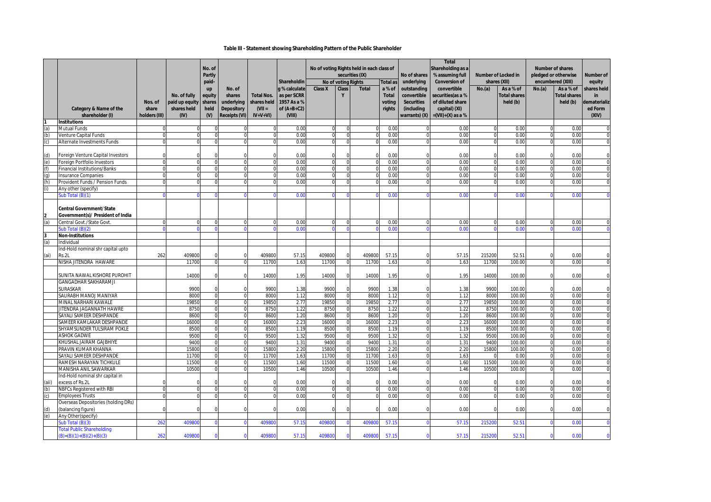### **Table III - Statement showing Shareholding Pattern of the Public Shareholder**

|       |                                               |               |                | No. of<br><b>Partly</b> |                   |                   | Shareholdin   | No of voting Rights held in each class of<br>securities (IX)<br>No of voting Rights |                            |              | No of shares<br>underlying | <b>Total</b><br>Shareholding as a<br>% assuming full<br><b>Conversion of</b> | <b>Number of Locked in</b><br>shares (XII) |              | encumbered (XIII)   | <b>Number of shares</b><br>pledged or otherwise | Number of<br>equity |                            |
|-------|-----------------------------------------------|---------------|----------------|-------------------------|-------------------|-------------------|---------------|-------------------------------------------------------------------------------------|----------------------------|--------------|----------------------------|------------------------------------------------------------------------------|--------------------------------------------|--------------|---------------------|-------------------------------------------------|---------------------|----------------------------|
|       |                                               |               |                | paid-<br>up             | No. of            |                   | q % calculate | <b>Class X</b>                                                                      | <b>Class</b>               | <b>Total</b> | <b>Total as</b><br>a % of  | outstanding                                                                  | convertible                                | No.(a)       | As a % of           | No.(a)                                          | As a % of           | shares held                |
|       |                                               |               | No. of fully   | equity                  | shares            | <b>Total Nos.</b> | as per SCRR   |                                                                                     | Y                          |              | <b>Total</b>               | convertible                                                                  | securities(as a %                          |              | <b>Total shares</b> |                                                 | <b>Total shares</b> | in                         |
|       |                                               | Nos. of       | paid up equity | shares                  | underlying        | shares held       | 1957 As a %   |                                                                                     |                            |              | voting                     | <b>Securities</b>                                                            | of diluted share                           |              | held (b)            |                                                 | held (b)            | dematerializ               |
|       | Category & Name of the                        | share         | shares held    | held                    | <b>Depository</b> | $(VII =$          | of $(A+B+C2)$ |                                                                                     |                            |              | rights                     | (including                                                                   | capital) (XI)                              |              |                     |                                                 |                     | ed Form                    |
|       | shareholder (I)                               | holders (III) | (IV)           | $(M)$                   | Receipts (VI)     | $IV+V+VI)$        | (VIII)        |                                                                                     |                            |              |                            | warrants) (X)                                                                | $=(VII)+(X)$ as a %                        |              |                     |                                                 |                     | (XIV)                      |
|       | <b>Institutions</b>                           |               |                |                         |                   |                   |               |                                                                                     |                            |              |                            |                                                                              |                                            |              |                     |                                                 |                     |                            |
|       | <b>Mutual Funds</b>                           |               |                |                         |                   |                   | 0.00          | $\Omega$                                                                            | ſ                          |              | 0.00                       |                                                                              | 0.00                                       | $\Omega$     | 0.00                | $\Omega$                                        | 0.00                | $\mathbf 0$                |
| (b)   | Venture Capital Funds                         | $\Omega$      | $\Omega$       |                         | $\Omega$          | $\Omega$          | 0.00          | $\Omega$                                                                            | $\Omega$                   |              | 0.00                       | $\mathcal{L}$                                                                | 0.00                                       | $\Omega$     | 0.00                | $\Omega$                                        | 0.00                | $\mathbf 0$                |
| (c)   | Alternate Investments Funds                   | $\Omega$      | O              |                         | $\Omega$          | $\Omega$          | 0.00          | $\Omega$                                                                            | $\Omega$                   |              | 0.00                       |                                                                              | 0.00                                       | $\Omega$     | 0.00                | $\Omega$                                        | 0.00                | $\mathbf 0$                |
|       |                                               |               |                |                         |                   |                   |               |                                                                                     |                            |              |                            |                                                                              |                                            |              |                     |                                                 |                     |                            |
| (d)   | Foreign Venture Capital Investors             |               |                |                         | c                 | $\Omega$          | 0.00          | $\Omega$                                                                            | C                          |              | 0.00                       |                                                                              | 0.00                                       | $\Omega$     | 0.00                |                                                 | 0.00                | $\Omega$                   |
| (e)   | Foreign Portfolio Investors                   |               | U              |                         | C                 | $\Omega$          | 0.00          | $\Omega$                                                                            | $\Omega$                   | $\Omega$     | 0.00                       |                                                                              | 0.00                                       | $\Omega$     | 0.00                |                                                 | 0.00                | $\mathbf 0$                |
| (f)   | <b>Financial Institutions/Banks</b>           | $\Omega$      | $\Omega$       |                         | $\Omega$          | $\Omega$          | 0.00          | $\Omega$                                                                            | $\Omega$                   |              | 0.00                       | $\cap$                                                                       | 0.00                                       | $\Omega$     | 0.00                |                                                 | 0.00                | $\mathbf 0$                |
| (q)   | <b>Insurance Companies</b>                    |               |                |                         |                   |                   | 0.00          |                                                                                     |                            |              | 0.00                       |                                                                              | 0.00                                       |              | 0.00                |                                                 | 0.00                | $\mathbf 0$                |
| (h)   | Provident Funds / Pension Funds               |               |                |                         |                   |                   | 0.00          |                                                                                     |                            |              | 0.00                       |                                                                              | 0.00                                       |              | 0.00                |                                                 | 0.00                | $\mathbf 0$                |
| (i)   | Any other (specify)                           |               |                |                         |                   |                   | 0.00          |                                                                                     |                            |              | 0.00                       |                                                                              | 0.00                                       |              | 0.00                |                                                 | 0.00                | $\Omega$                   |
|       | Sub Total (B)(1                               |               |                |                         |                   |                   |               |                                                                                     |                            |              |                            |                                                                              |                                            |              |                     |                                                 |                     |                            |
|       | <b>Central Government/State</b>               |               |                |                         |                   |                   |               |                                                                                     |                            |              |                            |                                                                              |                                            |              |                     |                                                 |                     |                            |
|       | Government(s)/ President of India             |               |                |                         |                   |                   |               |                                                                                     |                            |              |                            |                                                                              |                                            |              |                     |                                                 |                     |                            |
| (a)   | Central Govt./State Govt                      | $\Omega$      | O              |                         | $\Omega$          | $\Omega$          | 0.00          | $\Omega$                                                                            | $\Omega$                   | $\Omega$     | 0.00                       |                                                                              | 0.00                                       |              | 0.00                |                                                 | 0.00                | $\Omega$                   |
|       | Sub Total (B)(2)                              |               |                |                         |                   |                   | 0.00          |                                                                                     |                            |              | 0.00                       |                                                                              | 0.00                                       |              | 0.00                |                                                 | 0.00                | $\Omega$                   |
|       | <b>Non-Institutions</b>                       |               |                |                         |                   |                   |               |                                                                                     |                            |              |                            |                                                                              |                                            |              |                     |                                                 |                     |                            |
| (a)   | Individual                                    |               |                |                         |                   |                   |               |                                                                                     |                            |              |                            |                                                                              |                                            |              |                     |                                                 |                     |                            |
|       | Ind-Hold nominal shr capital upto             |               |                |                         |                   |                   |               |                                                                                     |                            |              |                            |                                                                              |                                            |              |                     |                                                 |                     |                            |
| (ai)  | Rs.2L                                         | 262           | 409800         |                         | $\Omega$          | 409800            | 57.15         | 409800                                                                              | $\Omega$                   | 409800       | 57.15                      |                                                                              | 57.15                                      | 215200       | 52.51               | $\Omega$                                        | 0.00                | $\Omega$                   |
|       | NISHA JITENDRA HAWARE                         |               | 11700          |                         |                   | 11700             | 1.63          | 11700                                                                               | $\Omega$                   | 11700        | 1.63                       |                                                                              | 1.63                                       | 11700        | 100.00              |                                                 | 0.00                | $\mathbf 0$                |
|       |                                               |               |                |                         |                   |                   |               |                                                                                     |                            |              |                            |                                                                              |                                            |              |                     |                                                 |                     |                            |
|       | SUNITA NAWAL KISHORE PUROHIT                  |               | 14000          |                         | $\Omega$          | 14000             | 1.95          | 14000                                                                               | $\Omega$                   | 14000        | 1.95                       |                                                                              | 1.95                                       | 14000        | 100.00              |                                                 | 0.00                | $\mathbf 0$                |
|       | <b>GANGADHAR SAKHARAMJI</b>                   |               |                |                         |                   |                   |               |                                                                                     |                            |              |                            |                                                                              |                                            |              |                     |                                                 |                     |                            |
|       | SURASKAR                                      |               | 9900           |                         | $\Omega$          | 9900              | 1.38          | 9900                                                                                | $\Omega$                   | 9900         | 1.38                       |                                                                              | 1.38                                       | 9900         | 100.00              |                                                 | 0.00                | $\Omega$                   |
|       | SAURABH MANOJ MANIYAR                         |               | 8000           |                         | $\Omega$          | 8000              | 1.12          | 8000                                                                                | $\Omega$                   | 8000         | 1.12                       |                                                                              | 1.12                                       | 8000         | 100.00              |                                                 | 0.00                | $\mathbf 0$                |
|       | MINAL NARHARI KAWALE                          |               | 19850          |                         | $\Omega$          | 19850             | 2.77          | 19850                                                                               | $\Omega$                   | 19850        | 2.77                       |                                                                              | 2.77                                       | 19850        | 100.00              |                                                 | 0.00                | $\mathbf 0$                |
|       | JITENDRA JAGANNATH HAWRE                      |               | 8750           |                         |                   | 8750              | 1.22          | 8750                                                                                | $\Omega$                   | 8750         | 1.22                       |                                                                              | 1.22                                       | 8750         | 100.00              |                                                 | 0.00                | $\mathbf 0$                |
|       | SAYALI SAMEER DESHPANDE                       |               | 8600           |                         |                   | 8600              | 1.20          | 8600                                                                                | $\mathbf 0$                | 8600         | 1.20                       |                                                                              | 1.20                                       | 8600         | 100.00              |                                                 | 0.00                | $\mathbf 0$                |
|       | SAMEER KAMLAKAR DESHPANDE                     |               | 16000          | $\Omega$                | $\Omega$          | 16000             | 2.23          | 16000                                                                               | $\mathbf 0$                | 16000        | 2.23                       | $\Omega$                                                                     | 2.23                                       | 16000        | 100.00              | $\Omega$                                        | 0.00                | $\overline{0}$             |
|       | SHYAMSUNDER TULSIRAM POKLE                    |               | 8500           |                         |                   | 8500              | 1.19          | 8500                                                                                | $\Omega$                   | 8500         | 1.19                       |                                                                              | 1.19                                       | 8500         | 100.00              |                                                 | 0.00                | $\mathbf 0$                |
|       | <b>ASHOK GADWE</b><br>KHUSHAL JAIRAM GAJBHIYE |               | 9500<br>9400   |                         | $\Omega$          | 9500<br>9400      | 1.32<br>1.31  | 9500<br>9400                                                                        | $\Omega$                   | 9500<br>9400 | 1.32<br>1.31               |                                                                              | 1.32                                       | 9500<br>9400 | 100.00<br>100.00    |                                                 | 0.00<br>0.00        | $\Omega$                   |
|       | PRAVIN KUMAR KHANNA                           |               | 15800          |                         | $\sqrt{2}$        | 15800             | 2.20          | 15800                                                                               | $\mathbf 0$<br>$\mathbf 0$ | 15800        | 2.20                       |                                                                              | 1.31<br>2.20                               | 15800        | 100.00              | $\Omega$                                        | 0.00                | $\mathbf 0$<br>$\mathbf 0$ |
|       | SAYALI SAMEER DESHPANDE                       |               | 11700          |                         | $\Omega$          | 11700             | 1.63          | 1170                                                                                | $\mathbf 0$                | 11700        | 1.63                       | $\sqrt{ }$                                                                   | 1.63                                       |              | 0.00                | $\Omega$                                        | 0.00                | $\mathbf 0$                |
|       | RAMESH NARAYAN TICHKULE                       |               | 11500          |                         |                   | 11500             | 1.60          | 11500                                                                               | $\Omega$                   | 11500        | 1.60                       |                                                                              | 1.60                                       | 11500        | 100.00              |                                                 | 0.00                | $\mathbf 0$                |
|       | MANISHA ANIL SAWARKAR                         |               | 10500          |                         |                   | 10500             | 1.46          | 10500                                                                               | $\Omega$                   | 10500        | 1.46                       |                                                                              | 1.46                                       | 10500        | 100.00              |                                                 | 0.00                | $\mathbf 0$                |
|       | Ind-Hold nominal shr capital in               |               |                |                         |                   |                   |               |                                                                                     |                            |              |                            |                                                                              |                                            |              |                     |                                                 |                     |                            |
| (aii) | excess of Rs.2L                               |               |                |                         | $\mathsf{C}$      | $\Omega$          | 0.00          |                                                                                     |                            |              | 0.00                       |                                                                              | 0.00                                       | $\Omega$     | 0.00                |                                                 | 0.00                | $\Omega$                   |
| (b)   | NBFCs Registered with RBI                     | $\Omega$      | $\Omega$       |                         | $\Omega$          | $\Omega$          | 0.00          | $\mathbf 0$                                                                         | $\Omega$                   |              | 0.00                       | $\Omega$                                                                     | 0.00                                       | $\Omega$     | 0.00                |                                                 | 0.00                | $\mathbf 0$                |
| (c)   | <b>Employees Trusts</b>                       |               |                |                         |                   | $\Omega$          | 0.00          |                                                                                     |                            |              | 0.00                       |                                                                              | 0.00                                       |              | 0.00                |                                                 | 0.00                | 0                          |
|       | Overseas Depositories (holding DRs)           |               |                |                         |                   |                   |               |                                                                                     |                            |              |                            |                                                                              |                                            |              |                     |                                                 |                     |                            |
| (d)   | (balancing figure)                            |               |                |                         | $\Omega$          | $\Omega$          | 0.00          | $\mathcal{C}$                                                                       | $\mathsf{C}$               |              | 0.00                       |                                                                              | 0.00                                       | $\Omega$     | 0.00                |                                                 | 0.00                | $\mathbf 0$                |
| (e)   | Any Other(specify)                            |               |                |                         |                   |                   |               |                                                                                     |                            |              |                            |                                                                              |                                            |              |                     |                                                 |                     |                            |
|       | Sub Total (B)(3)                              | 262           | 40980          |                         |                   | 40980             | 57.1          | 40980                                                                               | $\Omega$                   | 40980        | 57.15                      |                                                                              | 57.1!                                      | 21520        | $52.5^{\circ}$      |                                                 | 0.00                | $\mathbf{0}$               |
|       | <b>Total Public Shareholding</b>              |               |                |                         |                   |                   |               |                                                                                     |                            |              |                            |                                                                              |                                            |              |                     |                                                 |                     |                            |
|       | $(B)=(B)(1)+(B)(2)+(B)(3)$                    | 262           | 40980          |                         |                   | 409800            | 57.15         | 409800                                                                              |                            | 409800       | 57.15                      |                                                                              | 57.15                                      | 215200       | 52.51               |                                                 | 0.00                | $\Omega$                   |